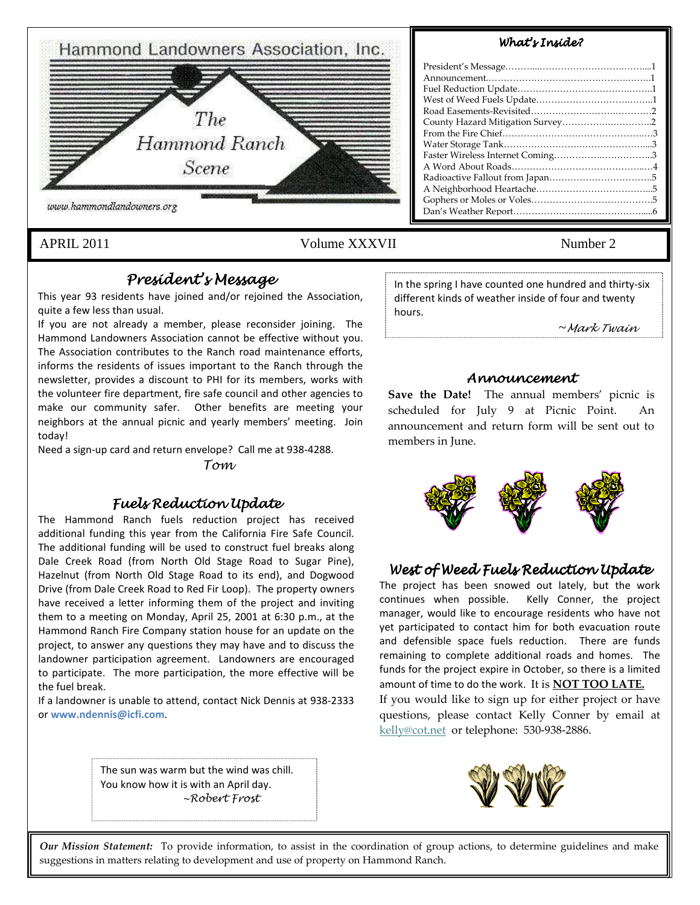

## APRIL 2011 Volume XXXVII Number 2

# President's Message

This year 93 residents have joined and/or rejoined the Association, quite a few less than usual.

If you are not already a member, please reconsider joining. The Hammond Landowners Association cannot be effective without you. The Association contributes to the Ranch road maintenance efforts, informs the residents of issues important to the Ranch through the newsletter, provides a discount to PHI for its members, works with the volunteer fire department, fire safe council and other agencies to make our community safer. Other benefits are meeting your neighbors at the annual picnic and yearly members' meeting. Join today!

Need a sign-up card and return envelope? Call me at 938-4288.

Tom

## Fuels Reduction Update Fuels Reduction Update

The Hammond Ranch fuels reduction project has received additional funding this year from the California Fire Safe Council. The additional funding will be used to construct fuel breaks along Dale Creek Road (from North Old Stage Road to Sugar Pine), Hazelnut (from North Old Stage Road to its end), and Dogwood Drive (from Dale Creek Road to Red Fir Loop). The property owners have received a letter informing them of the project and inviting them to a meeting on Monday, April 25, 2001 at 6:30 p.m., at the Hammond Ranch Fire Company station house for an update on the project, to answer any questions they may have and to discuss the landowner participation agreement. Landowners are encouraged to participate. The more participation, the more effective will be the fuel break.

If a landowner is unable to attend, contact Nick Dennis at 938-2333 or www.ndennis@icfi.com.

In the spring I have counted one hundred and thirty-six different kinds of weather inside of four and twenty hours.

~Mark Twain

### Announcement

Save the Date! The annual members' picnic is scheduled for July 9 at Picnic Point. An announcement and return form will be sent out to members in June.



## West of Weed Fuels Reduction Update

The project has been snowed out lately, but the work continues when possible. Kelly Conner, the project manager, would like to encourage residents who have not yet participated to contact him for both evacuation route and defensible space fuels reduction. There are funds remaining to complete additional roads and homes. The funds for the project expire in October, so there is a limited amount of time to do the work. It is **NOT TOO LATE.** If you would like to sign up for either project or have questions, please contact Kelly Conner by email at kelly@cot.net or telephone: 530-938-2886.

The sun was warm but the wind was chill. You know how it is with an April day. ~Robert Frost



Our Mission Statement: To provide information, to assist in the coordination of group actions, to determine guidelines and make suggestions in matters relating to development and use of property on Hammond Ranch.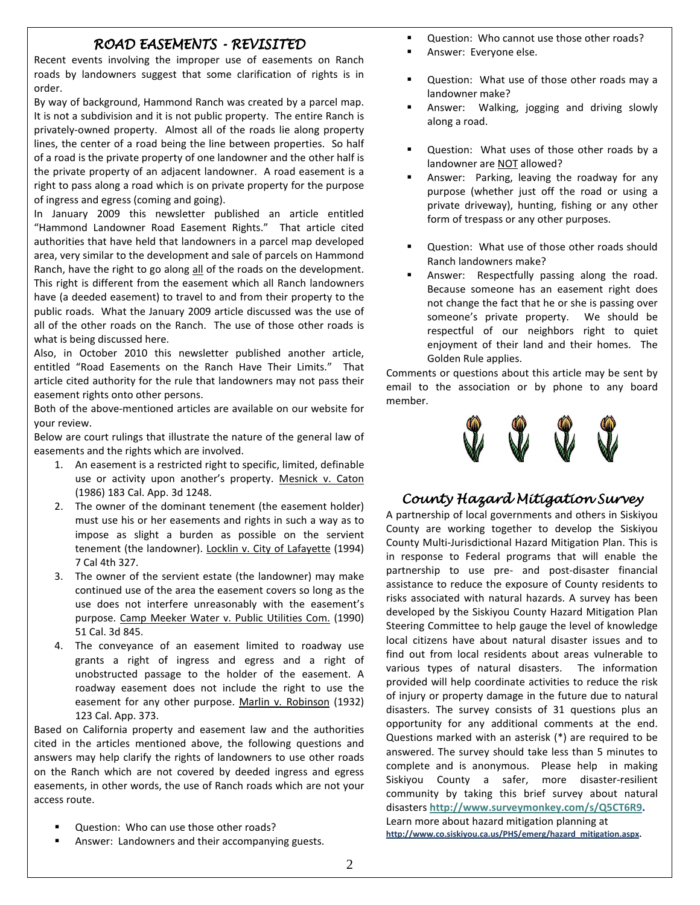## ROAD EASEMENTS - REVISITED

Recent events involving the improper use of easements on Ranch roads by landowners suggest that some clarification of rights is in order.

By way of background, Hammond Ranch was created by a parcel map. It is not a subdivision and it is not public property. The entire Ranch is privately-owned property. Almost all of the roads lie along property lines, the center of a road being the line between properties. So half of a road is the private property of one landowner and the other half is the private property of an adjacent landowner. A road easement is a right to pass along a road which is on private property for the purpose of ingress and egress (coming and going).

In January 2009 this newsletter published an article entitled "Hammond Landowner Road Easement Rights." That article cited authorities that have held that landowners in a parcel map developed area, very similar to the development and sale of parcels on Hammond Ranch, have the right to go along all of the roads on the development. This right is different from the easement which all Ranch landowners have (a deeded easement) to travel to and from their property to the public roads. What the January 2009 article discussed was the use of all of the other roads on the Ranch. The use of those other roads is what is being discussed here.

Also, in October 2010 this newsletter published another article, entitled "Road Easements on the Ranch Have Their Limits." That article cited authority for the rule that landowners may not pass their easement rights onto other persons.

Both of the above-mentioned articles are available on our website for your review.

Below are court rulings that illustrate the nature of the general law of easements and the rights which are involved.

- 1. An easement is a restricted right to specific, limited, definable use or activity upon another's property. Mesnick v. Caton (1986) 183 Cal. App. 3d 1248.
- 2. The owner of the dominant tenement (the easement holder) must use his or her easements and rights in such a way as to impose as slight a burden as possible on the servient tenement (the landowner). Locklin v. City of Lafayette (1994) 7 Cal 4th 327.
- 3. The owner of the servient estate (the landowner) may make continued use of the area the easement covers so long as the use does not interfere unreasonably with the easement's purpose. Camp Meeker Water v. Public Utilities Com. (1990) 51 Cal. 3d 845.
- 4. The conveyance of an easement limited to roadway use grants a right of ingress and egress and a right of unobstructed passage to the holder of the easement. A roadway easement does not include the right to use the easement for any other purpose. Marlin v. Robinson (1932) 123 Cal. App. 373.

Based on California property and easement law and the authorities cited in the articles mentioned above, the following questions and answers may help clarify the rights of landowners to use other roads on the Ranch which are not covered by deeded ingress and egress easements, in other words, the use of Ranch roads which are not your access route.

- Question: Who can use those other roads?
- Answer: Landowners and their accompanying guests.
- **Question: Who cannot use those other roads?**
- Answer: Everyone else.
- Question: What use of those other roads may a landowner make?
- Answer: Walking, jogging and driving slowly along a road.
- Question: What uses of those other roads by a landowner are NOT allowed?
- Answer: Parking, leaving the roadway for any purpose (whether just off the road or using a private driveway), hunting, fishing or any other form of trespass or any other purposes.
- Question: What use of those other roads should Ranch landowners make?
- Answer: Respectfully passing along the road. Because someone has an easement right does not change the fact that he or she is passing over someone's private property. We should be respectful of our neighbors right to quiet enjoyment of their land and their homes. The Golden Rule applies.

Comments or questions about this article may be sent by email to the association or by phone to any board member.



## County Hazard Mitigation Survey

A partnership of local governments and others in Siskiyou County are working together to develop the Siskiyou County Multi-Jurisdictional Hazard Mitigation Plan. This is in response to Federal programs that will enable the partnership to use pre- and post-disaster financial assistance to reduce the exposure of County residents to risks associated with natural hazards. A survey has been developed by the Siskiyou County Hazard Mitigation Plan Steering Committee to help gauge the level of knowledge local citizens have about natural disaster issues and to find out from local residents about areas vulnerable to various types of natural disasters. The information provided will help coordinate activities to reduce the risk of injury or property damage in the future due to natural disasters. The survey consists of 31 questions plus an opportunity for any additional comments at the end. Questions marked with an asterisk (\*) are required to be answered. The survey should take less than 5 minutes to complete and is anonymous. Please help in making Siskiyou County a safer, more disaster-resilient community by taking this brief survey about natural disasters http://www.surveymonkey.com/s/Q5CT6R9. Learn more about hazard mitigation planning at

http://www.co.siskiyou.ca.us/PHS/emerg/hazard\_mitigation.aspx.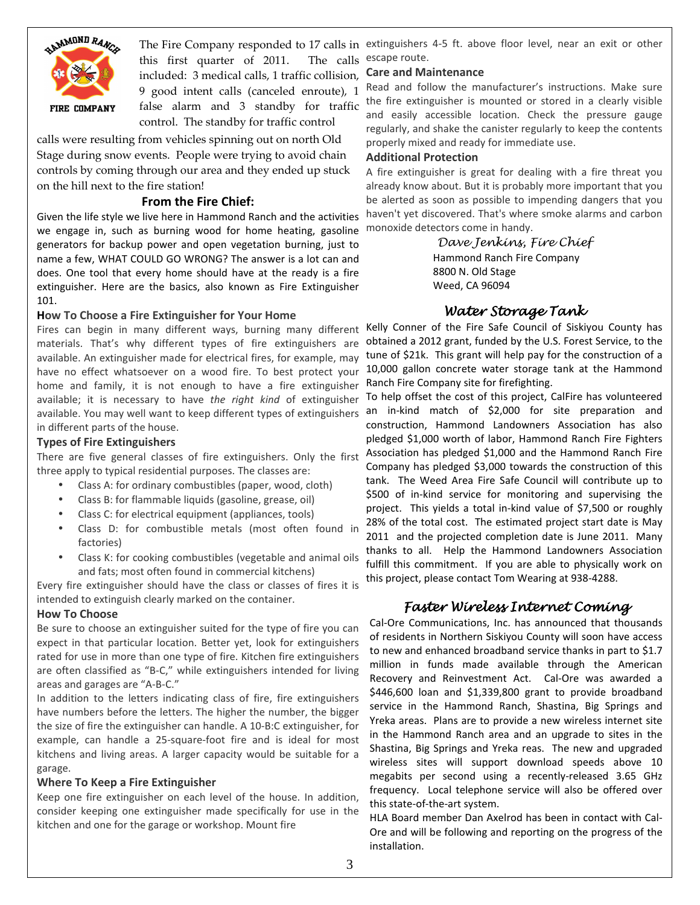

this first quarter of 2011. The calls included: 3 medical calls, 1 traffic collision, 9 good intent calls (canceled enroute), 1 false alarm and 3 standby for traffic control. The standby for traffic control

calls were resulting from vehicles spinning out on north Old Stage during snow events. People were trying to avoid chain controls by coming through our area and they ended up stuck on the hill next to the fire station!

## From the Fire Chief:

Given the life style we live here in Hammond Ranch and the activities haven't yet discovered. That's where smoke alarms and carbon we engage in, such as burning wood for home heating, gasoline generators for backup power and open vegetation burning, just to name a few, WHAT COULD GO WRONG? The answer is a lot can and does. One tool that every home should have at the ready is a fire extinguisher. Here are the basics, also known as Fire Extinguisher 101.

#### How To Choose a Fire Extinguisher for Your Home

available. You may well want to keep different types of extinguishers an in-kind match of \$2,000 for site preparation and Fires can begin in many different ways, burning many different materials. That's why different types of fire extinguishers are available. An extinguisher made for electrical fires, for example, may have no effect whatsoever on a wood fire. To best protect your home and family, it is not enough to have a fire extinguisher available; it is necessary to have the right kind of extinguisher in different parts of the house.

### Types of Fire Extinguishers

There are five general classes of fire extinguishers. Only the first three apply to typical residential purposes. The classes are:

- Class A: for ordinary combustibles (paper, wood, cloth)
- Class B: for flammable liquids (gasoline, grease, oil)
- Class C: for electrical equipment (appliances, tools)
- Class D: for combustible metals (most often found in factories)
- Class K: for cooking combustibles (vegetable and animal oils and fats; most often found in commercial kitchens)

Every fire extinguisher should have the class or classes of fires it is intended to extinguish clearly marked on the container.

#### How To Choose

Be sure to choose an extinguisher suited for the type of fire you can expect in that particular location. Better yet, look for extinguishers rated for use in more than one type of fire. Kitchen fire extinguishers are often classified as "B-C," while extinguishers intended for living areas and garages are "A-B-C."

In addition to the letters indicating class of fire, fire extinguishers have numbers before the letters. The higher the number, the bigger the size of fire the extinguisher can handle. A 10-B:C extinguisher, for example, can handle a 25-square-foot fire and is ideal for most kitchens and living areas. A larger capacity would be suitable for a garage.

#### Where To Keep a Fire Extinguisher

Keep one fire extinguisher on each level of the house. In addition, consider keeping one extinguisher made specifically for use in the kitchen and one for the garage or workshop. Mount fire

The Fire Company responded to 17 calls in extinguishers 4-5 ft. above floor level, near an exit or other escape route.

#### Care and Maintenance

Read and follow the manufacturer's instructions. Make sure the fire extinguisher is mounted or stored in a clearly visible and easily accessible location. Check the pressure gauge regularly, and shake the canister regularly to keep the contents properly mixed and ready for immediate use.

#### Additional Protection

A fire extinguisher is great for dealing with a fire threat you already know about. But it is probably more important that you be alerted as soon as possible to impending dangers that you monoxide detectors come in handy.

> Dave Jenkins, Fire Chief Hammond Ranch Fire Company 8800 N. Old Stage Weed, CA 96094

## Water Storage Tank

Kelly Conner of the Fire Safe Council of Siskiyou County has obtained a 2012 grant, funded by the U.S. Forest Service, to the tune of \$21k. This grant will help pay for the construction of a 10,000 gallon concrete water storage tank at the Hammond Ranch Fire Company site for firefighting.

To help offset the cost of this project, CalFire has volunteered construction, Hammond Landowners Association has also pledged \$1,000 worth of labor, Hammond Ranch Fire Fighters Association has pledged \$1,000 and the Hammond Ranch Fire Company has pledged \$3,000 towards the construction of this tank. The Weed Area Fire Safe Council will contribute up to \$500 of in-kind service for monitoring and supervising the project. This yields a total in-kind value of \$7,500 or roughly 28% of the total cost. The estimated project start date is May 2011 and the projected completion date is June 2011. Many thanks to all. Help the Hammond Landowners Association fulfill this commitment. If you are able to physically work on this project, please contact Tom Wearing at 938-4288.

## Faster Wireless Internet Coming

Cal-Ore Communications, Inc. has announced that thousands of residents in Northern Siskiyou County will soon have access to new and enhanced broadband service thanks in part to \$1.7 million in funds made available through the American Recovery and Reinvestment Act. Cal-Ore was awarded a \$446,600 loan and \$1,339,800 grant to provide broadband service in the Hammond Ranch, Shastina, Big Springs and Yreka areas. Plans are to provide a new wireless internet site in the Hammond Ranch area and an upgrade to sites in the Shastina, Big Springs and Yreka reas. The new and upgraded wireless sites will support download speeds above 10 megabits per second using a recently-released 3.65 GHz frequency. Local telephone service will also be offered over this state-of-the-art system.

HLA Board member Dan Axelrod has been in contact with Cal-Ore and will be following and reporting on the progress of the installation.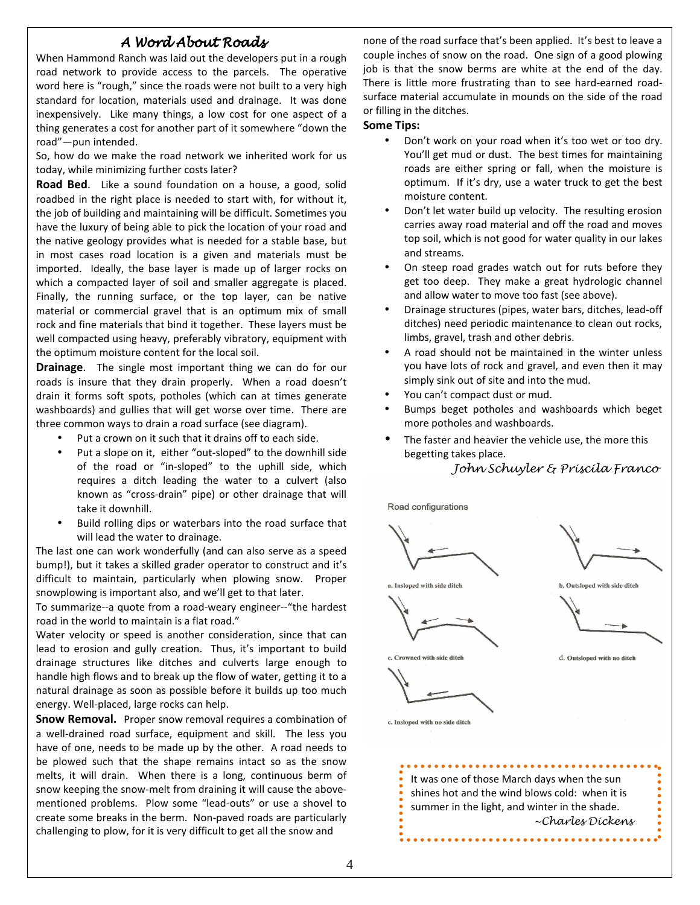## A Word AboutRoads

When Hammond Ranch was laid out the developers put in a rough road network to provide access to the parcels. The operative word here is "rough," since the roads were not built to a very high standard for location, materials used and drainage. It was done inexpensively. Like many things, a low cost for one aspect of a thing generates a cost for another part of it somewhere "down the road"—pun intended.

So, how do we make the road network we inherited work for us today, while minimizing further costs later?

Road Bed. Like a sound foundation on a house, a good, solid roadbed in the right place is needed to start with, for without it, the job of building and maintaining will be difficult. Sometimes you have the luxury of being able to pick the location of your road and the native geology provides what is needed for a stable base, but in most cases road location is a given and materials must be imported. Ideally, the base layer is made up of larger rocks on which a compacted layer of soil and smaller aggregate is placed. Finally, the running surface, or the top layer, can be native material or commercial gravel that is an optimum mix of small rock and fine materials that bind it together. These layers must be well compacted using heavy, preferably vibratory, equipment with the optimum moisture content for the local soil.

**Drainage.** The single most important thing we can do for our roads is insure that they drain properly. When a road doesn't drain it forms soft spots, potholes (which can at times generate washboards) and gullies that will get worse over time. There are three common ways to drain a road surface (see diagram).

- Put a crown on it such that it drains off to each side.
- Put a slope on it, either "out-sloped" to the downhill side of the road or "in-sloped" to the uphill side, which requires a ditch leading the water to a culvert (also known as "cross-drain" pipe) or other drainage that will take it downhill.
- Build rolling dips or waterbars into the road surface that will lead the water to drainage.

The last one can work wonderfully (and can also serve as a speed bump!), but it takes a skilled grader operator to construct and it's difficult to maintain, particularly when plowing snow. Proper snowplowing is important also, and we'll get to that later.

To summarize--a quote from a road-weary engineer--"the hardest road in the world to maintain is a flat road."

Water velocity or speed is another consideration, since that can lead to erosion and gully creation. Thus, it's important to build drainage structures like ditches and culverts large enough to handle high flows and to break up the flow of water, getting it to a natural drainage as soon as possible before it builds up too much energy. Well-placed, large rocks can help.

Snow Removal.Proper snow removal requires a combination of a well-drained road surface, equipment and skill. The less you have of one, needs to be made up by the other. A road needs to be plowed such that the shape remains intact so as the snow melts, it will drain. When there is a long, continuous berm of snow keeping the snow-melt from draining it will cause the abovementioned problems. Plow some "lead-outs" or use a shovel to create some breaks in the berm. Non-paved roads are particularly challenging to plow, for it is very difficult to get all the snow and

none of the road surface that's been applied. It's best to leave a couple inches of snow on the road. One sign of a good plowing job is that the snow berms are white at the end of the day. There is little more frustrating than to see hard-earned roadsurface material accumulate in mounds on the side of the road or filling in the ditches.

#### Some Tips:

- Don't work on your road when it's too wet or too dry. You'll get mud or dust. The best times for maintaining roads are either spring or fall, when the moisture is optimum. If it's dry, use a water truck to get the best moisture content.
- Don't let water build up velocity. The resulting erosion carries away road material and off the road and moves top soil, which is not good for water quality in our lakes and streams.
- On steep road grades watch out for ruts before they get too deep. They make a great hydrologic channel and allow water to move too fast (see above).
- Drainage structures (pipes, water bars, ditches, lead-off ditches) need periodic maintenance to clean out rocks, limbs, gravel, trash and other debris.
- A road should not be maintained in the winter unless you have lots of rock and gravel, and even then it may simply sink out of site and into the mud.
- You can't compact dust or mud.
- Bumps beget potholes and washboards which beget more potholes and washboards.
- The faster and heavier the vehicle use, the more this begetting takes place.

John Schuyler & Priscila Franco

Road configurations







d. Outsloped with no ditch



c. Insloped with no side ditch

c. Crowned with side ditch

It was one of those March days when the sun shines hot and the wind blows cold: when it is summer in the light, and winter in the shade. ~Charles Dickens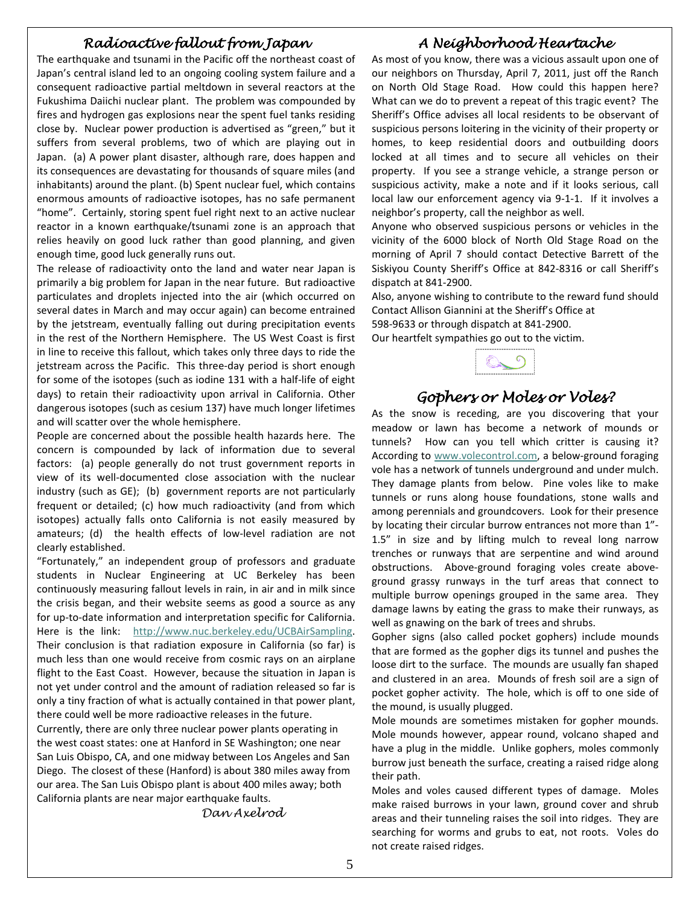## Radioactive fallout from Japan

The earthquake and tsunami in the Pacific off the northeast coast of Japan's central island led to an ongoing cooling system failure and a consequent radioactive partial meltdown in several reactors at the Fukushima Daiichi nuclear plant. The problem was compounded by fires and hydrogen gas explosions near the spent fuel tanks residing close by. Nuclear power production is advertised as "green," but it suffers from several problems, two of which are playing out in Japan. (a) A power plant disaster, although rare, does happen and its consequences are devastating for thousands of square miles (and inhabitants) around the plant. (b) Spent nuclear fuel, which contains enormous amounts of radioactive isotopes, has no safe permanent "home". Certainly, storing spent fuel right next to an active nuclear reactor in a known earthquake/tsunami zone is an approach that relies heavily on good luck rather than good planning, and given enough time, good luck generally runs out.

The release of radioactivity onto the land and water near Japan is primarily a big problem for Japan in the near future. But radioactive particulates and droplets injected into the air (which occurred on several dates in March and may occur again) can become entrained by the jetstream, eventually falling out during precipitation events in the rest of the Northern Hemisphere. The US West Coast is first in line to receive this fallout, which takes only three days to ride the jetstream across the Pacific. This three-day period is short enough for some of the isotopes (such as iodine 131 with a half-life of eight days) to retain their radioactivity upon arrival in California. Other dangerous isotopes (such as cesium 137) have much longer lifetimes and will scatter over the whole hemisphere.

People are concerned about the possible health hazards here. The concern is compounded by lack of information due to several factors: (a) people generally do not trust government reports in view of its well-documented close association with the nuclear industry (such as GE); (b) government reports are not particularly frequent or detailed; (c) how much radioactivity (and from which isotopes) actually falls onto California is not easily measured by amateurs; (d) the health effects of low-level radiation are not clearly established.

"Fortunately," an independent group of professors and graduate students in Nuclear Engineering at UC Berkeley has been continuously measuring fallout levels in rain, in air and in milk since the crisis began, and their website seems as good a source as any for up-to-date information and interpretation specific for California. Here is the link: http://www.nuc.berkeley.edu/UCBAirSampling. Their conclusion is that radiation exposure in California (so far) is much less than one would receive from cosmic rays on an airplane flight to the East Coast. However, because the situation in Japan is not yet under control and the amount of radiation released so far is only a tiny fraction of what is actually contained in that power plant, there could well be more radioactive releases in the future.

Currently, there are only three nuclear power plants operating in the west coast states: one at Hanford in SE Washington; one near San Luis Obispo, CA, and one midway between Los Angeles and San Diego. The closest of these (Hanford) is about 380 miles away from our area. The San Luis Obispo plant is about 400 miles away; both California plants are near major earthquake faults.

Dan Axelrod

## A Neighborhood Heartache

As most of you know, there was a vicious assault upon one of our neighbors on Thursday, April 7, 2011, just off the Ranch on North Old Stage Road. How could this happen here? What can we do to prevent a repeat of this tragic event? The Sheriff's Office advises all local residents to be observant of suspicious persons loitering in the vicinity of their property or homes, to keep residential doors and outbuilding doors locked at all times and to secure all vehicles on their property. If you see a strange vehicle, a strange person or suspicious activity, make a note and if it looks serious, call local law our enforcement agency via 9-1-1. If it involves a neighbor's property, call the neighbor as well.

Anyone who observed suspicious persons or vehicles in the vicinity of the 6000 block of North Old Stage Road on the morning of April 7 should contact Detective Barrett of the Siskiyou County Sheriff's Office at 842-8316 or call Sheriff's dispatch at 841-2900.

Also, anyone wishing to contribute to the reward fund should Contact Allison Giannini at the Sheriff's Office at

598-9633 or through dispatch at 841-2900.

Our heartfelt sympathies go out to the victim.



# Gophers or Moles or Voles?

As the snow is receding, are you discovering that your meadow or lawn has become a network of mounds or tunnels? How can you tell which critter is causing it? According to www.volecontrol.com, a below-ground foraging vole has a network of tunnels underground and under mulch. They damage plants from below. Pine voles like to make tunnels or runs along house foundations, stone walls and among perennials and groundcovers. Look for their presence by locating their circular burrow entrances not more than 1"- 1.5" in size and by lifting mulch to reveal long narrow trenches or runways that are serpentine and wind around obstructions. Above-ground foraging voles create aboveground grassy runways in the turf areas that connect to multiple burrow openings grouped in the same area. They damage lawns by eating the grass to make their runways, as well as gnawing on the bark of trees and shrubs.

Gopher signs (also called pocket gophers) include mounds that are formed as the gopher digs its tunnel and pushes the loose dirt to the surface. The mounds are usually fan shaped and clustered in an area. Mounds of fresh soil are a sign of pocket gopher activity. The hole, which is off to one side of the mound, is usually plugged.

Mole mounds are sometimes mistaken for gopher mounds. Mole mounds however, appear round, volcano shaped and have a plug in the middle. Unlike gophers, moles commonly burrow just beneath the surface, creating a raised ridge along their path.

Moles and voles caused different types of damage. Moles make raised burrows in your lawn, ground cover and shrub areas and their tunneling raises the soil into ridges. They are searching for worms and grubs to eat, not roots. Voles do not create raised ridges.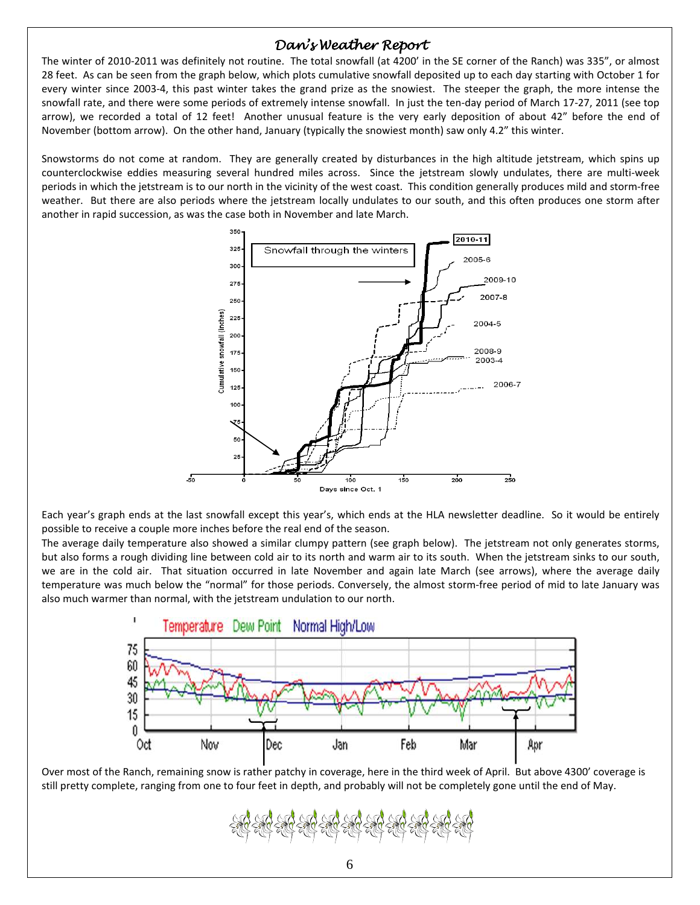# Dan's Weather Report

The winter of 2010-2011 was definitely not routine. The total snowfall (at 4200' in the SE corner of the Ranch) was 335", or almost 28 feet. As can be seen from the graph below, which plots cumulative snowfall deposited up to each day starting with October 1 for every winter since 2003-4, this past winter takes the grand prize as the snowiest. The steeper the graph, the more intense the snowfall rate, and there were some periods of extremely intense snowfall. In just the ten-day period of March 17-27, 2011 (see top arrow), we recorded a total of 12 feet! Another unusual feature is the very early deposition of about 42" before the end of November (bottom arrow). On the other hand, January (typically the snowiest month) saw only 4.2" this winter.

Snowstorms do not come at random. They are generally created by disturbances in the high altitude jetstream, which spins up counterclockwise eddies measuring several hundred miles across. Since the jetstream slowly undulates, there are multi-week periods in which the jetstream is to our north in the vicinity of the west coast. This condition generally produces mild and storm-free weather. But there are also periods where the jetstream locally undulates to our south, and this often produces one storm after another in rapid succession, as was the case both in November and late March.



Each year's graph ends at the last snowfall except this year's, which ends at the HLA newsletter deadline. So it would be entirely possible to receive a couple more inches before the real end of the season.

The average daily temperature also showed a similar clumpy pattern (see graph below). The jetstream not only generates storms, but also forms a rough dividing line between cold air to its north and warm air to its south. When the jetstream sinks to our south, we are in the cold air. That situation occurred in late November and again late March (see arrows), where the average daily temperature was much below the "normal" for those periods. Conversely, the almost storm-free period of mid to late January was also much warmer than normal, with the jetstream undulation to our north.



Over most of the Ranch, remaining snow is rather patchy in coverage, here in the third week of April. But above 4300' coverage is still pretty complete, ranging from one to four feet in depth, and probably will not be completely gone until the end of May.